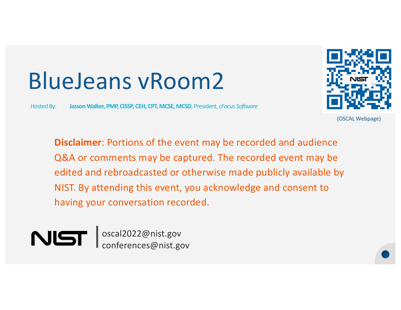# BlueJeans vRoom2

Hosted By: **Jasson Walker, PMP, CISSP, CEH, CPT, MCSE, MCSD**, President, *cFocus Software*



(OSCAL Webpage)

**Disclaimer**: Portions of the event may be recorded and audience Q&A or comments may be captured. The recorded event may be edited and rebroadcasted or otherwise made publicly available by NIST. By attending this event, you acknowledge and consent to having your conversation recorded.



oscal2022@nist.gov conferences@nist.gov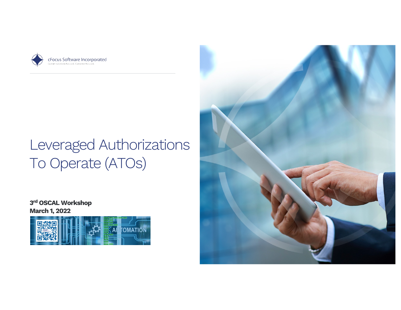



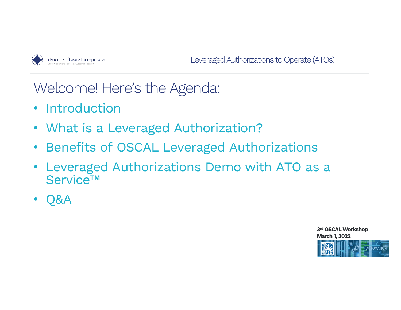

Welcome! Here's the Agenda:

- Introduction
- What is a Leveraged Authorization?
- Benefits of OSCAL Leveraged Authorizations
- Leveraged Authorizations Demo with ATO as a Service™
- Q&A

**3rd OSCAL Workshop March 1, 2022** AUTOMATION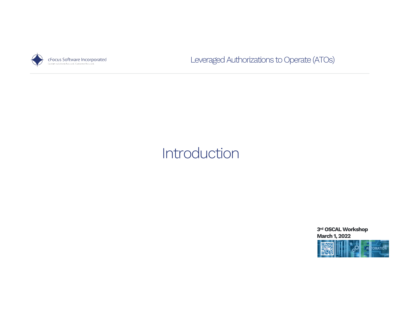

# Introduction

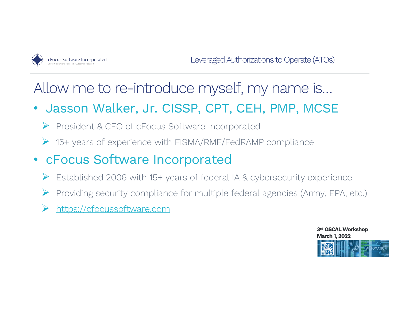

# Allow me to re-introduce myself, my name is…

- Jasson Walker, Jr. CISSP, CPT, CEH, PMP, MCSE
	- Ø President & CEO of cFocus Software Incorporated
	- Ø 15+ years of experience with FISMA/RMF/FedRAMP compliance
- cFocus Software Incorporated
	- Established 2006 with 15+ years of federal IA & cybersecurity experience
	- Ø Providing security compliance for multiple federal agencies (Army, EPA, etc.)
	- [https://cfocussoftware.com](https://cfocussoftware.com/)

**3rd OSCAL Workshop March 1, 2022 COMATIO**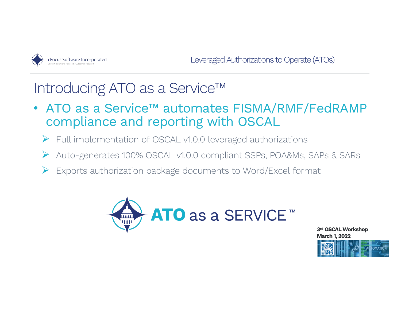

# Introducing ATO as a Service™

- ATO as a Service™ automates FISMA/RMF/FedRAMP compliance and reporting with OSCAL
	- Ø Full implementation of OSCAL v1.0.0 leveraged authorizations
	- Ø Auto-generates 100% OSCAL v1.0.0 compliant SSPs, POA&Ms, SAPs & SARs
	- Exports authorization package documents to Word/Excel format



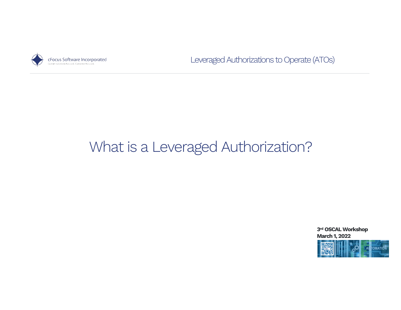

# What is a Leveraged Authorization?

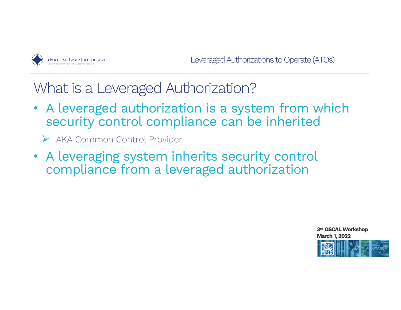

What is a Leveraged Authorization?

- A leveraged authorization is a system from which security control compliance can be inherited
	- Ø AKA Common Control Provider
- A leveraging system inherits security control compliance from a leveraged authorization

**3rd OSCAL Workshop March 1, 2022**

**TOMATION**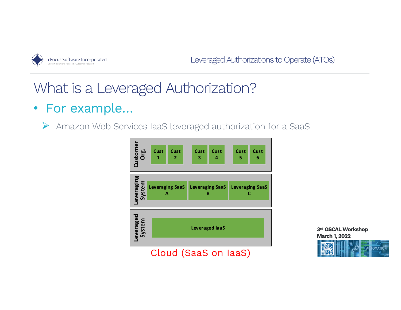

# What is a Leveraged Authorization?

• For example…

Ø Amazon Web Services IaaS leveraged authorization for a SaaS



**3rd OSCAL Workshop March 1, 2022**  $\sqrt[2]{\mathsf{A}}$ **TOMATION**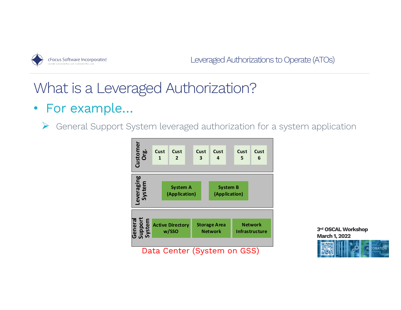

# What is a Leveraged Authorization?

### • For example…

 $\triangleright$  General Support System leveraged authorization for a system application



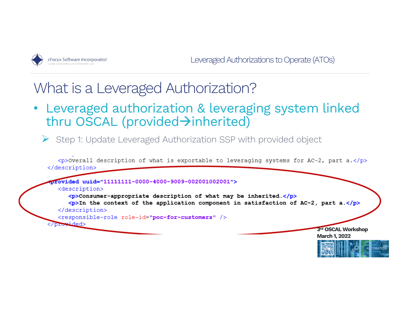

### What is a Leveraged Authorization?

• Leveraged authorization & leveraging system linked thru OSCAL (provided>inherited)

Ø Step 1: Update Leveraged Authorization SSP with provided object

 $\langle p\rangle$ Overall description of what is exportable to leveraging systems for AC-2, part a. $\langle p\rangle$ </description>

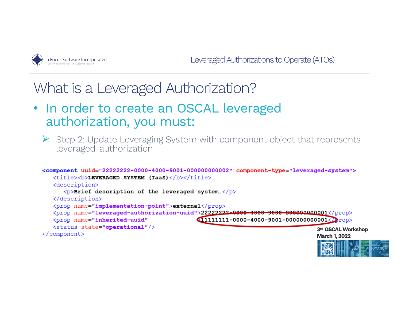

### What is a Leveraged Authorization?

- In order to create an OSCAL leveraged authorization, you must:
	- $\triangleright$  Step 2: Update Leveraging System with component object that represents leveraged-authorization

```
<component uuid="22222222-0000-4000-9001-000000000002" component-type="leveraged-system">
   <title><b>LEVERAGED SYSTEM (IaaS)</b></title>
   <description>
      \langle p \rangleBrief description of the leveraged system.\langle p \rangle</description>
   <prop name="implementation-point">external</prop>
   <prop name="leveraged-authorization-uuid">22222222-0000-4000-9000-80000000001</prop>
                                                \bigcirc11111111-0000-4000-9001-0000000000001<\ranglerop>
   <prop name="inherited-uuid"
   <status state="operational"/>
                                                                                      3rd OSCAL Workshop
</component>
                                                                                      March 1, 2022
```
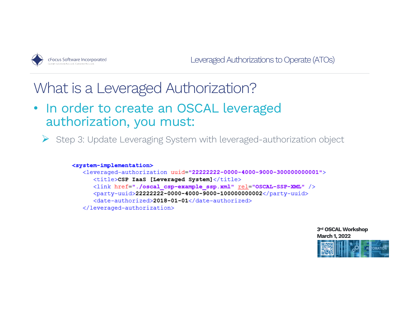

### What is a Leveraged Authorization?

• In order to create an OSCAL leveraged authorization, you must:

 $\triangleright$  Step 3: Update Leveraging System with leveraged-authorization object

#### <system-implementation>

```
<leveraged-authorization uuid="22222222-0000-4000-9000-3000000000001">
   <title>CSP TaaS [Leveraged System]</title>
   <link href="./oscal csp-example ssp.xml" rel="OSCAL-SSP-XML" />
   \langleparty-uuid>22222222-0000-4000-9000-100000000002</party-uuid>
   <date-authorized>2018-01-01</date-authorized>
</leveraged-authorization>
```
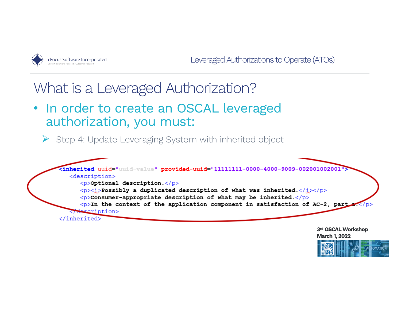

## What is a Leveraged Authorization?

• In order to create an OSCAL leveraged authorization, you must:

 $\triangleright$  Step 4: Update Leveraging System with inherited object



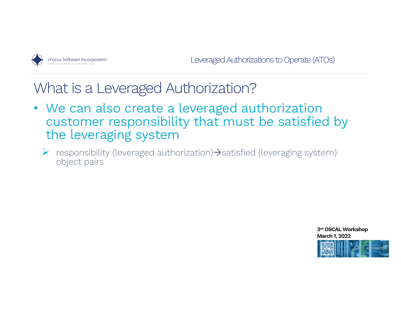

What is a Leveraged Authorization?

- We can also create a leveraged authorization customer responsibility that must be satisfied by the leveraging system
	- $\triangleright$  responsibility (leveraged authorization)  $\rightarrow$  satisfied (leveraging system) object pairs

**3rd OSCAL Workshop March 1, 2022 ITOMATION**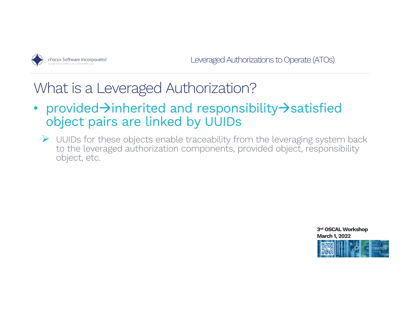

## What is a Leveraged Authorization?

- provided $\rightarrow$ inherited and responsibility $\rightarrow$ satisfied object pairs are linked by UUIDs
	- $\triangleright$  UUIDs for these objects enable traceability from the leveraging system back to the leveraged authorization components, provided object, responsibility object, etc.

**3rd OSCAL Workshop March 1, 2022 TOMATION**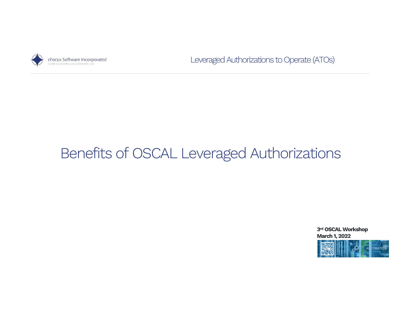

# Benefits of OSCAL Leveraged Authorizations

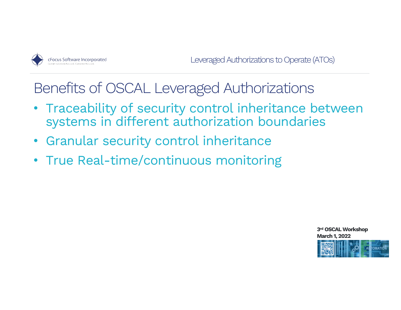

Benefits of OSCAL Leveraged Authorizations

- Traceability of security control inheritance between systems in different authorization boundaries
- Granular security control inheritance
- True Real-time/continuous monitoring

**3rd OSCAL Workshop March 1, 2022** tomation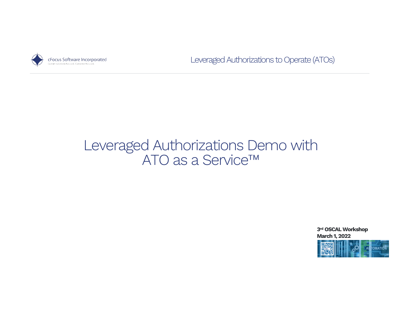

### Leveraged Authorizations Demo with ATO as a Service<sup>™</sup>

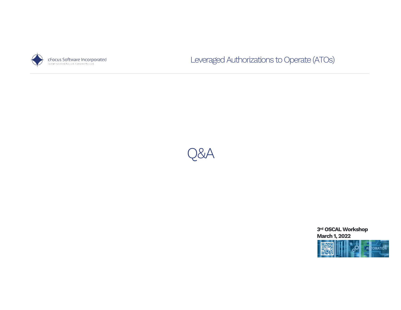